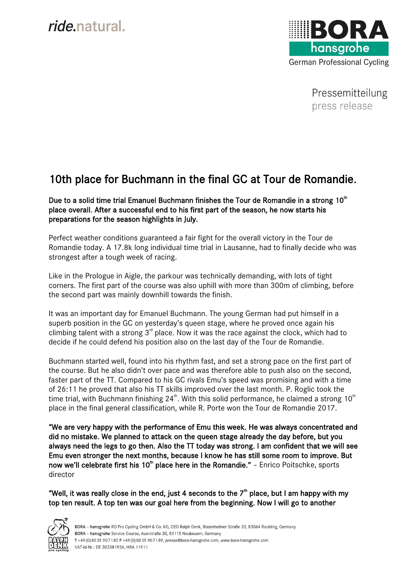## *ride* natural.



Pressemitteilung press release

## 10th place for Buchmann in the final GC at Tour de Romandie.

Due to a solid time trial Emanuel Buchmann finishes the Tour de Romandie in a strong  $10<sup>th</sup>$ place overall. After a successful end to his first part of the season, he now starts his preparations for the season highlights in July.

Perfect weather conditions guaranteed a fair fight for the overall victory in the Tour de Romandie today. A 17.8k long individual time trial in Lausanne, had to finally decide who was strongest after a tough week of racing.

Like in the Prologue in Aigle, the parkour was technically demanding, with lots of tight corners. The first part of the course was also uphill with more than 300m of climbing, before the second part was mainly downhill towards the finish.

It was an important day for Emanuel Buchmann. The young German had put himself in a superb position in the GC on yesterday's queen stage, where he proved once again his climbing talent with a strong  $3<sup>rd</sup>$  place. Now it was the race against the clock, which had to decide if he could defend his position also on the last day of the Tour de Romandie.

Buchmann started well, found into his rhythm fast, and set a strong pace on the first part of the course. But he also didn't over pace and was therefore able to push also on the second, faster part of the TT. Compared to his GC rivals Emu's speed was promising and with a time of 26:11 he proved that also his TT skills improved over the last month. P. Roglic took the time trial, with Buchmann finishing 24<sup>th</sup>. With this solid performance, he claimed a strong 10<sup>th</sup> place in the final general classification, while R. Porte won the Tour de Romandie 2017.

"We are very happy with the performance of Emu this week. He was always concentrated and did no mistake. We planned to attack on the queen stage already the day before, but you always need the legs to go then. Also the TT today was strong. I am confident that we will see Emu even stronger the next months, because I know he has still some room to improve. But now we'll celebrate first his 10<sup>th</sup> place here in the Romandie." - Enrico Poitschke, sports director

"Well, it was really close in the end, just 4 seconds to the  $7<sup>th</sup>$  place, but I am happy with my top ten result. A top ten was our goal here from the beginning. Now I will go to another